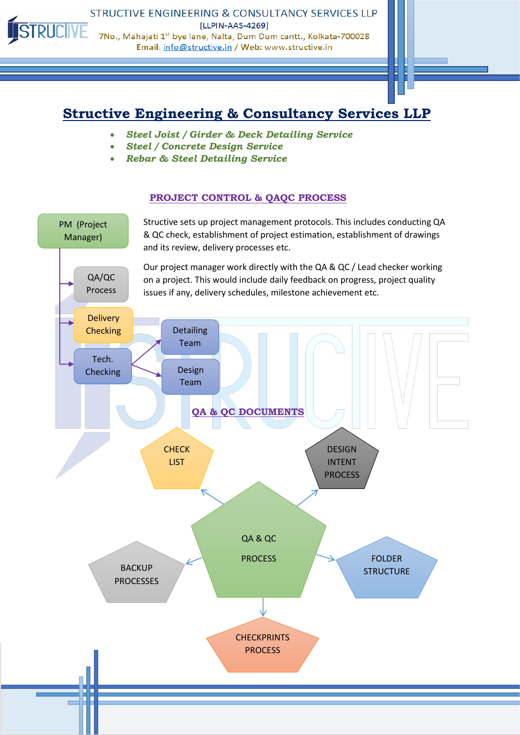

STRUCTIVE ENGINEERING & CONSULTANCY SERVICES LLP [LLPIN-AAS-4269] 7No., Mahajati 1st bye lane, Nalta, Dum Dum cantt., Kolkata-700028 Email: info@structive.in / Web: www.structive.in

# **Structive Engineering & Consultancy Services LLP**

- *Steel Joist / Girder & Deck Detailing Service*
- *Steel / Concrete Design Service*
- *Rebar & Steel Detailing Service*

### **PROJECT CONTROL & QAQC PROCESS**

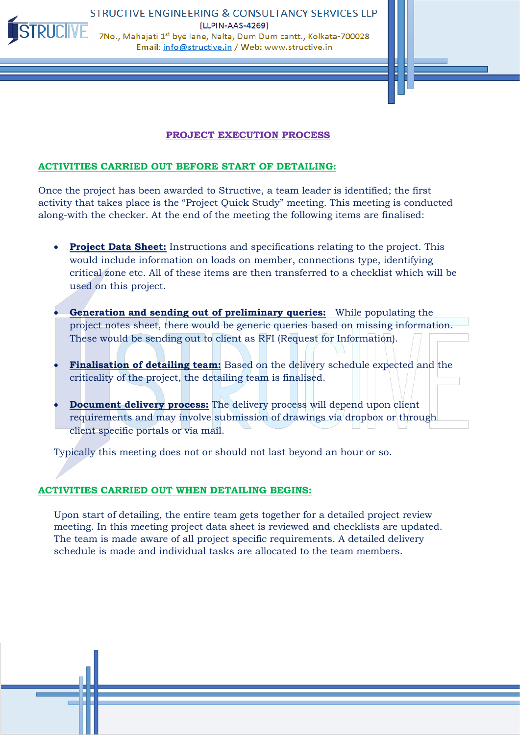

#### **PROJECT EXECUTION PROCESS**

#### **ACTIVITIES CARRIED OUT BEFORE START OF DETAILING:**

Once the project has been awarded to Structive, a team leader is identified; the first activity that takes place is the "Project Quick Study" meeting. This meeting is conducted along-with the checker. At the end of the meeting the following items are finalised:

- **Project Data Sheet:** Instructions and specifications relating to the project. This would include information on loads on member, connections type, identifying critical zone etc. All of these items are then transferred to a checklist which will be used on this project.
- **Generation and sending out of preliminary queries:** While populating the project notes sheet, there would be generic queries based on missing information. These would be sending out to client as RFI (Request for Information).
- **Finalisation of detailing team:** Based on the delivery schedule expected and the criticality of the project, the detailing team is finalised.
- **Document delivery process:** The delivery process will depend upon client requirements and may involve submission of drawings via dropbox or through client specific portals or via mail.

Typically this meeting does not or should not last beyond an hour or so.

#### **ACTIVITIES CARRIED OUT WHEN DETAILING BEGINS:**

Upon start of detailing, the entire team gets together for a detailed project review meeting. In this meeting project data sheet is reviewed and checklists are updated. The team is made aware of all project specific requirements. A detailed delivery schedule is made and individual tasks are allocated to the team members.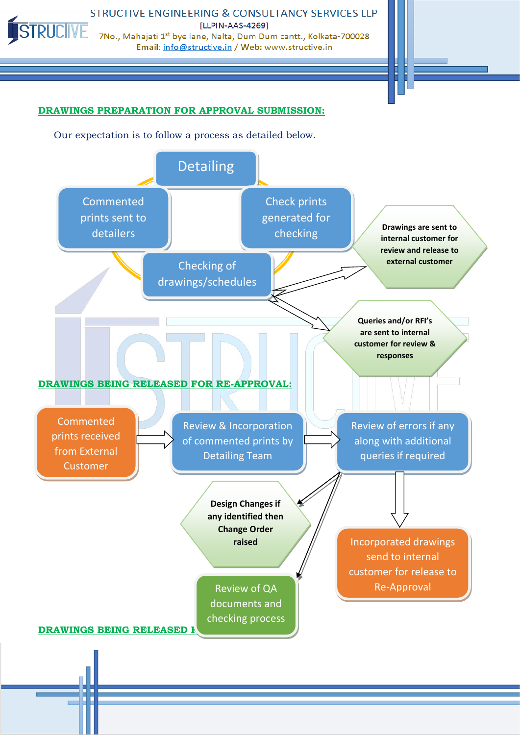

STRUCTIVE ENGINEERING & CONSULTANCY SERVICES LLP [LLPIN-AAS-4269] 7No., Mahajati 1<sup>st</sup> bye lane, Nalta, Dum Dum cantt., Kolkata-700028 Email: info@structive.in / Web: www.structive.in



# **DRAWINGS PREPARATION FOR APPROVAL SUBMISSION:**

Our expectation is to follow a process as detailed below.

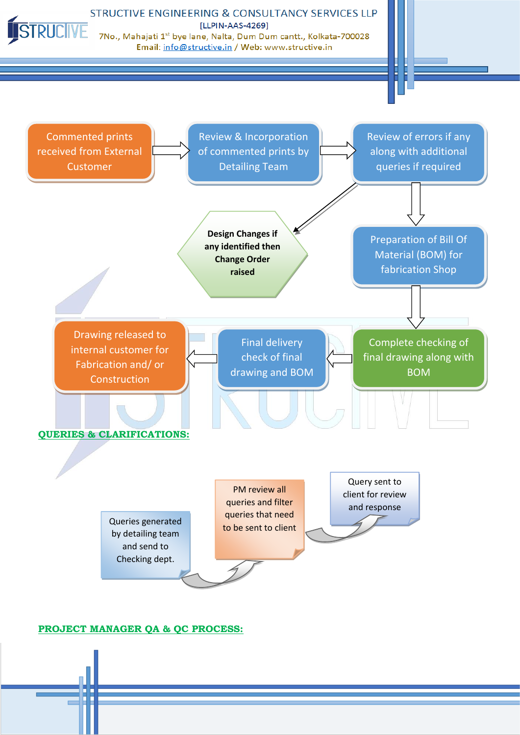STRUCIVE

STRUCTIVE ENGINEERING & CONSULTANCY SERVICES LLP [LLPIN-AAS-4269]

Email: info@structive.in / Web: www.structive.in



## **PROJECT MANAGER QA & QC PROCESS:**